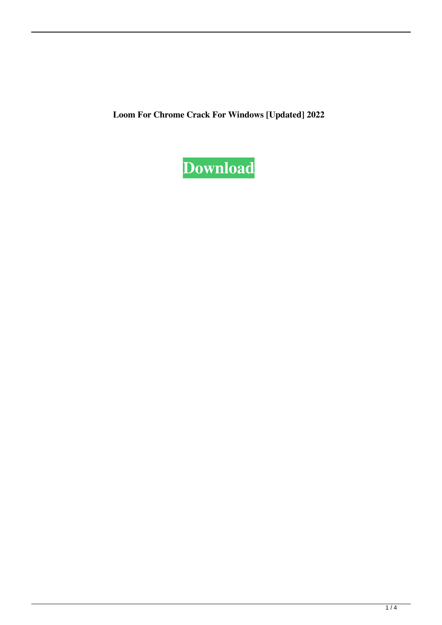**Loom For Chrome Crack For Windows [Updated] 2022**

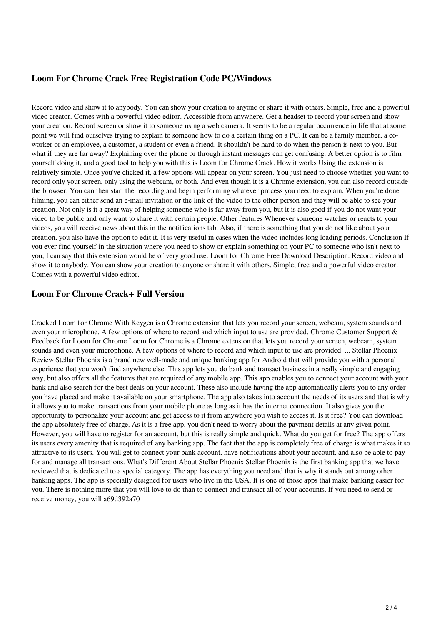# **Loom For Chrome Crack Free Registration Code PC/Windows**

Record video and show it to anybody. You can show your creation to anyone or share it with others. Simple, free and a powerful video creator. Comes with a powerful video editor. Accessible from anywhere. Get a headset to record your screen and show your creation. Record screen or show it to someone using a web camera. It seems to be a regular occurrence in life that at some point we will find ourselves trying to explain to someone how to do a certain thing on a PC. It can be a family member, a coworker or an employee, a customer, a student or even a friend. It shouldn't be hard to do when the person is next to you. But what if they are far away? Explaining over the phone or through instant messages can get confusing. A better option is to film yourself doing it, and a good tool to help you with this is Loom for Chrome Crack. How it works Using the extension is relatively simple. Once you've clicked it, a few options will appear on your screen. You just need to choose whether you want to record only your screen, only using the webcam, or both. And even though it is a Chrome extension, you can also record outside the browser. You can then start the recording and begin performing whatever process you need to explain. When you're done filming, you can either send an e-mail invitation or the link of the video to the other person and they will be able to see your creation. Not only is it a great way of helping someone who is far away from you, but it is also good if you do not want your video to be public and only want to share it with certain people. Other features Whenever someone watches or reacts to your videos, you will receive news about this in the notifications tab. Also, if there is something that you do not like about your creation, you also have the option to edit it. It is very useful in cases when the video includes long loading periods. Conclusion If you ever find yourself in the situation where you need to show or explain something on your PC to someone who isn't next to you, I can say that this extension would be of very good use. Loom for Chrome Free Download Description: Record video and show it to anybody. You can show your creation to anyone or share it with others. Simple, free and a powerful video creator. Comes with a powerful video editor.

#### **Loom For Chrome Crack+ Full Version**

Cracked Loom for Chrome With Keygen is a Chrome extension that lets you record your screen, webcam, system sounds and even your microphone. A few options of where to record and which input to use are provided. Chrome Customer Support & Feedback for Loom for Chrome Loom for Chrome is a Chrome extension that lets you record your screen, webcam, system sounds and even your microphone. A few options of where to record and which input to use are provided. ... Stellar Phoenix Review Stellar Phoenix is a brand new well-made and unique banking app for Android that will provide you with a personal experience that you won't find anywhere else. This app lets you do bank and transact business in a really simple and engaging way, but also offers all the features that are required of any mobile app. This app enables you to connect your account with your bank and also search for the best deals on your account. These also include having the app automatically alerts you to any order you have placed and make it available on your smartphone. The app also takes into account the needs of its users and that is why it allows you to make transactions from your mobile phone as long as it has the internet connection. It also gives you the opportunity to personalize your account and get access to it from anywhere you wish to access it. Is it free? You can download the app absolutely free of charge. As it is a free app, you don't need to worry about the payment details at any given point. However, you will have to register for an account, but this is really simple and quick. What do you get for free? The app offers its users every amenity that is required of any banking app. The fact that the app is completely free of charge is what makes it so attractive to its users. You will get to connect your bank account, have notifications about your account, and also be able to pay for and manage all transactions. What's Different About Stellar Phoenix Stellar Phoenix is the first banking app that we have reviewed that is dedicated to a special category. The app has everything you need and that is why it stands out among other banking apps. The app is specially designed for users who live in the USA. It is one of those apps that make banking easier for you. There is nothing more that you will love to do than to connect and transact all of your accounts. If you need to send or receive money, you will a69d392a70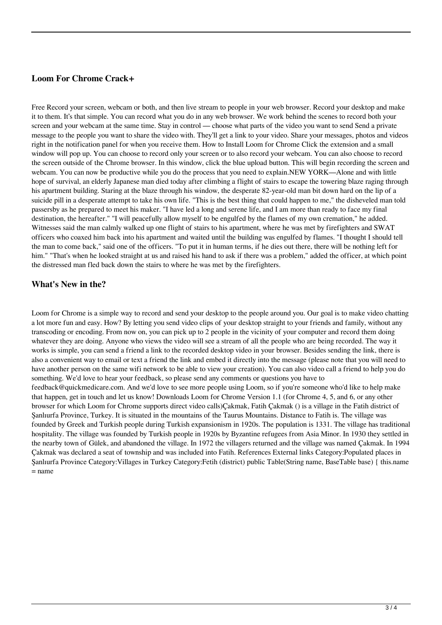# **Loom For Chrome Crack+**

Free Record your screen, webcam or both, and then live stream to people in your web browser. Record your desktop and make it to them. It's that simple. You can record what you do in any web browser. We work behind the scenes to record both your screen and your webcam at the same time. Stay in control — choose what parts of the video you want to send Send a private message to the people you want to share the video with. They'll get a link to your video. Share your messages, photos and videos right in the notification panel for when you receive them. How to Install Loom for Chrome Click the extension and a small window will pop up. You can choose to record only your screen or to also record your webcam. You can also choose to record the screen outside of the Chrome browser. In this window, click the blue upload button. This will begin recording the screen and webcam. You can now be productive while you do the process that you need to explain.NEW YORK—Alone and with little hope of survival, an elderly Japanese man died today after climbing a flight of stairs to escape the towering blaze raging through his apartment building. Staring at the blaze through his window, the desperate 82-year-old man bit down hard on the lip of a suicide pill in a desperate attempt to take his own life. "This is the best thing that could happen to me," the disheveled man told passersby as he prepared to meet his maker. "I have led a long and serene life, and I am more than ready to face my final destination, the hereafter." "I will peacefully allow myself to be engulfed by the flames of my own cremation," he added. Witnesses said the man calmly walked up one flight of stairs to his apartment, where he was met by firefighters and SWAT officers who coaxed him back into his apartment and waited until the building was engulfed by flames. "I thought I should tell the man to come back," said one of the officers. "To put it in human terms, if he dies out there, there will be nothing left for him." "That's when he looked straight at us and raised his hand to ask if there was a problem," added the officer, at which point the distressed man fled back down the stairs to where he was met by the firefighters.

#### **What's New in the?**

Loom for Chrome is a simple way to record and send your desktop to the people around you. Our goal is to make video chatting a lot more fun and easy. How? By letting you send video clips of your desktop straight to your friends and family, without any transcoding or encoding. From now on, you can pick up to 2 people in the vicinity of your computer and record them doing whatever they are doing. Anyone who views the video will see a stream of all the people who are being recorded. The way it works is simple, you can send a friend a link to the recorded desktop video in your browser. Besides sending the link, there is also a convenient way to email or text a friend the link and embed it directly into the message (please note that you will need to have another person on the same wifi network to be able to view your creation). You can also video call a friend to help you do something. We'd love to hear your feedback, so please send any comments or questions you have to feedback@quickmedicare.com. And we'd love to see more people using Loom, so if you're someone who'd like to help make that happen, get in touch and let us know! Downloads Loom for Chrome Version 1.1 (for Chrome 4, 5, and 6, or any other browser for which Loom for Chrome supports direct video calls)Çakmak, Fatih Çakmak () is a village in the Fatih district of Şanlıurfa Province, Turkey. It is situated in the mountains of the Taurus Mountains. Distance to Fatih is. The village was founded by Greek and Turkish people during Turkish expansionism in 1920s. The population is 1331. The village has traditional hospitality. The village was founded by Turkish people in 1920s by Byzantine refugees from Asia Minor. In 1930 they settled in the nearby town of Gülek, and abandoned the village. In 1972 the villagers returned and the village was named Çakmak. In 1994 Çakmak was declared a seat of township and was included into Fatih. References External links Category:Populated places in Şanlıurfa Province Category:Villages in Turkey Category:Fetih (district) public Table(String name, BaseTable base) { this.name = name